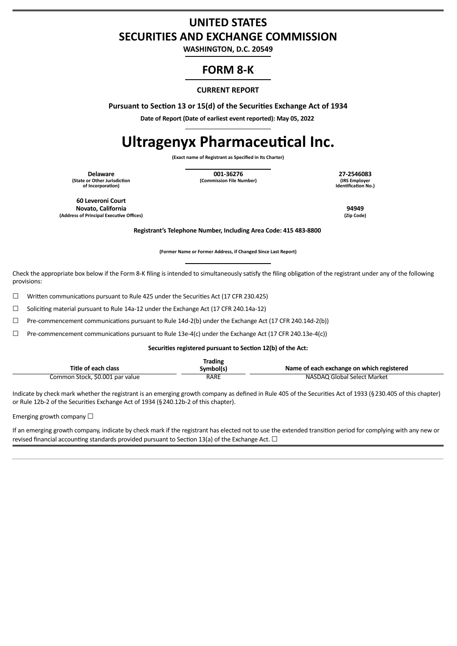## **UNITED STATES SECURITIES AND EXCHANGE COMMISSION**

**WASHINGTON, D.C. 20549**

## **FORM 8-K**

### **CURRENT REPORT**

**Pursuant to Section 13 or 15(d) of the Securities Exchange Act of 1934**

**Date of Report (Date of earliest event reported): May 05, 2022**

# **Ultragenyx Pharmaceutical Inc.**

**(Exact name of Registrant as Specified in Its Charter)**

**(State or Other Jurisdiction of Incorporation)**

**Delaware 001-36276 27-2546083 (Commission File Number)** 

**Identification No.)**

**60 Leveroni Court Novato, California 94949 (Address of Principal Executive Offices)** 

**Registrant's Telephone Number, Including Area Code: 415 483-8800**

**(Former Name or Former Address, if Changed Since Last Report)**

Check the appropriate box below if the Form 8-K filing is intended to simultaneously satisfy the filing obligation of the registrant under any of the following provisions:

 $\Box$  Written communications pursuant to Rule 425 under the Securities Act (17 CFR 230.425)

☐ Soliciting material pursuant to Rule 14a-12 under the Exchange Act (17 CFR 240.14a-12)

☐ Pre-commencement communications pursuant to Rule 14d-2(b) under the Exchange Act (17 CFR 240.14d-2(b))

☐ Pre-commencement communications pursuant to Rule 13e-4(c) under the Exchange Act (17 CFR 240.13e-4(c))

**Securities registered pursuant to Section 12(b) of the Act:**

| Title of each class             | Trading<br>Symbol(s) | Name of each exchange on which registered |
|---------------------------------|----------------------|-------------------------------------------|
| Common Stock, \$0.001 par value | RARE                 | NASDAQ Global Select Market               |

Indicate by check mark whether the registrant is an emerging growth company as defined in Rule 405 of the Securities Act of 1933 (§230.405 of this chapter) or Rule 12b-2 of the Securities Exchange Act of 1934 (§240.12b-2 of this chapter).

Emerging growth company  $\Box$ 

If an emerging growth company, indicate by check mark if the registrant has elected not to use the extended transition period for complying with any new or revised financial accounting standards provided pursuant to Section 13(a) of the Exchange Act.  $\Box$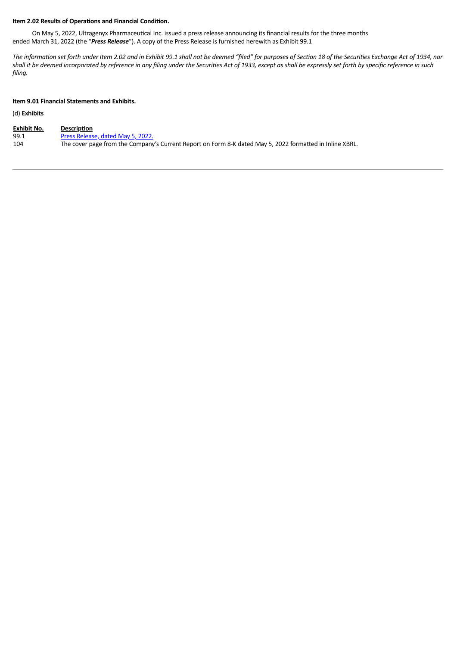#### **Item 2.02 Results of Operations and Financial Condition.**

On May 5, 2022, Ultragenyx Pharmaceutical Inc. issued a press release announcing its financial results for the three months ended March 31, 2022 (the "*Press Release*"). A copy of the Press Release is furnished herewith as Exhibit 99.1

The information set forth under Item 2.02 and in Exhibit 99.1 shall not be deemed "filed" for purposes of Section 18 of the Securities Exchange Act of 1934, nor shall it be deemed incorporated by reference in any filing under the Securities Act of 1933, except as shall be expressly set forth by specific reference in such *filing.*

#### **Item 9.01 Financial Statements and Exhibits.**

## (d) **Exhibits**

| <b>Exhibit No.</b> | Description                                                                                              |
|--------------------|----------------------------------------------------------------------------------------------------------|
| 99.1               | Press Release, dated May 5, 2022.                                                                        |
| 104                | The cover page from the Company's Current Report on Form 8-K dated May 5, 2022 formatted in Inline XBRL. |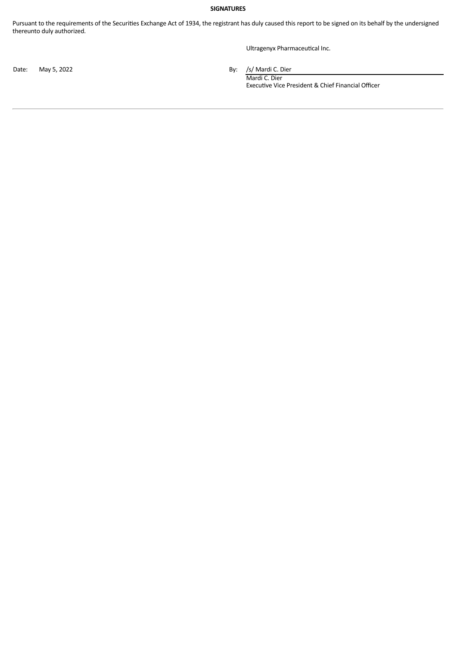#### **SIGNATURES**

Pursuant to the requirements of the Securities Exchange Act of 1934, the registrant has duly caused this report to be signed on its behalf by the undersigned thereunto duly authorized.

Ultragenyx Pharmaceutical Inc.

Date: May 5, 2022 **By:** /s/ Mardi C. Dier

Mardi C. Dier Executive Vice President & Chief Financial Officer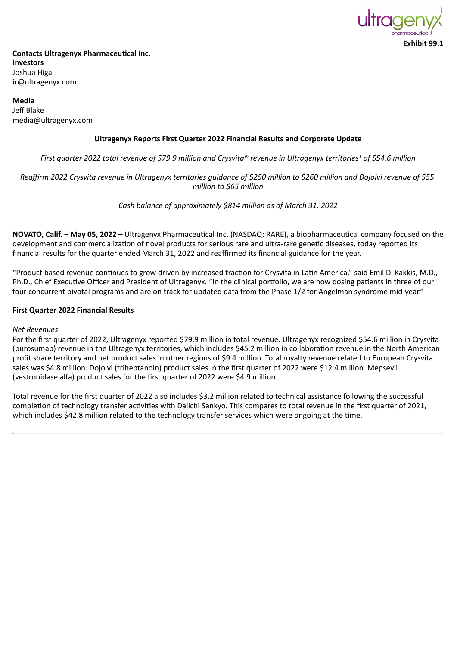

## <span id="page-3-0"></span>**Contacts Ultragenyx Pharmaceutical Inc. Investors** Joshua Higa ir@ultragenyx.com

**Media** Jeff Blake media@ultragenyx.com

## **Ultragenyx Reports First Quarter 2022 Financial Results and Corporate Update**

*First quarter 2022 total revenue of \$79.9 million and Crysvita® revenue in Ultragenyx territories<sup>1</sup> of \$54.6 million*

## *Reaffirm 2022 Crysvita revenue in Ultragenyx territories guidance of \$250 million to \$260 million and Dojolvi revenue of \$55 million to \$65 million*

*Cash balance of approximately \$814 million as of March 31, 2022*

**NOVATO, Calif. – May 05, 2022 –** Ultragenyx Pharmaceutical Inc. (NASDAQ: RARE), a biopharmaceutical company focused on the development and commercialization of novel products for serious rare and ultra-rare genetic diseases, today reported its financial results for the quarter ended March 31, 2022 and reaffirmed its financial guidance for the year.

"Product based revenue continues to grow driven by increased traction for Crysvita in Latin America," said Emil D. Kakkis, M.D., Ph.D., Chief Executive Officer and President of Ultragenyx. "In the clinical portfolio, we are now dosing patients in three of our four concurrent pivotal programs and are on track for updated data from the Phase 1/2 for Angelman syndrome mid-year."

## **First Quarter 2022 Financial Results**

#### *Net Revenues*

For the first quarter of 2022, Ultragenyx reported \$79.9 million in total revenue. Ultragenyx recognized \$54.6 million in Crysvita (burosumab) revenue in the Ultragenyx territories, which includes \$45.2 million in collaboration revenue in the North American profit share territory and net product sales in other regions of \$9.4 million. Total royalty revenue related to European Crysvita sales was \$4.8 million. Dojolvi (triheptanoin) product sales in the first quarter of 2022 were \$12.4 million. Mepsevii (vestronidase alfa) product sales for the first quarter of 2022 were \$4.9 million.

Total revenue for the first quarter of 2022 also includes \$3.2 million related to technical assistance following the successful completion of technology transfer activities with Daiichi Sankyo. This compares to total revenue in the first quarter of 2021, which includes \$42.8 million related to the technology transfer services which were ongoing at the time.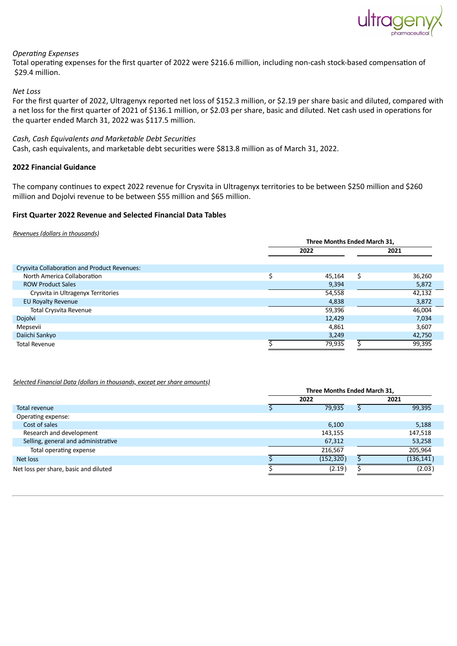

**Three Months Ended March 31,**

## *Operating Expenses*

Total operating expenses for the first quarter of 2022 were \$216.6 million, including non-cash stock-based compensation of \$29.4 million.

#### *Net Loss*

For the first quarter of 2022, Ultragenyx reported net loss of \$152.3 million, or \$2.19 per share basic and diluted, compared with a net loss for the first quarter of 2021 of \$136.1 million, or \$2.03 per share, basic and diluted. Net cash used in operations for the quarter ended March 31, 2022 was \$117.5 million.

#### *Cash, Cash Equivalents and Marketable Debt Securities*

Cash, cash equivalents, and marketable debt securities were \$813.8 million as of March 31, 2022.

#### **2022 Financial Guidance**

The company continues to expect 2022 revenue for Crysvita in Ultragenyx territories to be between \$250 million and \$260 million and Dojolvi revenue to be between \$55 million and \$65 million.

## **First Quarter 2022 Revenue and Selected Financial Data Tables**

#### *Revenues (dollars in thousands)*

|                                                     | Three Months Ended March 31. |        |      |        |
|-----------------------------------------------------|------------------------------|--------|------|--------|
|                                                     | 2022                         |        | 2021 |        |
|                                                     |                              |        |      |        |
| <b>Crysvita Collaboration and Product Revenues:</b> |                              |        |      |        |
| North America Collaboration                         |                              | 45,164 | Ś    | 36,260 |
| <b>ROW Product Sales</b>                            |                              | 9,394  |      | 5,872  |
| Crysvita in Ultragenyx Territories                  |                              | 54,558 |      | 42,132 |
| <b>EU Royalty Revenue</b>                           |                              | 4,838  |      | 3,872  |
| <b>Total Crysvita Revenue</b>                       |                              | 59,396 |      | 46,004 |
| Dojolvi                                             |                              | 12,429 |      | 7,034  |
| Mepsevii                                            |                              | 4,861  |      | 3,607  |
| Daiichi Sankyo                                      |                              | 3,249  |      | 42,750 |
| <b>Total Revenue</b>                                |                              | 79,935 |      | 99,395 |

#### *Selected Financial Data (dollars in thousands, except per share amounts)*

|                                       | Three Months Ended March 31, |            |  |            |  |  |
|---------------------------------------|------------------------------|------------|--|------------|--|--|
|                                       | 2022                         |            |  | 2021       |  |  |
| Total revenue                         |                              | 79,935     |  | 99,395     |  |  |
| Operating expense:                    |                              |            |  |            |  |  |
| Cost of sales                         |                              | 6,100      |  | 5,188      |  |  |
| Research and development              |                              | 143,155    |  | 147,518    |  |  |
| Selling, general and administrative   |                              | 67,312     |  | 53,258     |  |  |
| Total operating expense               |                              | 216,567    |  | 205,964    |  |  |
| Net loss                              |                              | (152, 320) |  | (136, 141) |  |  |
| Net loss per share, basic and diluted |                              | (2.19)     |  | (2.03)     |  |  |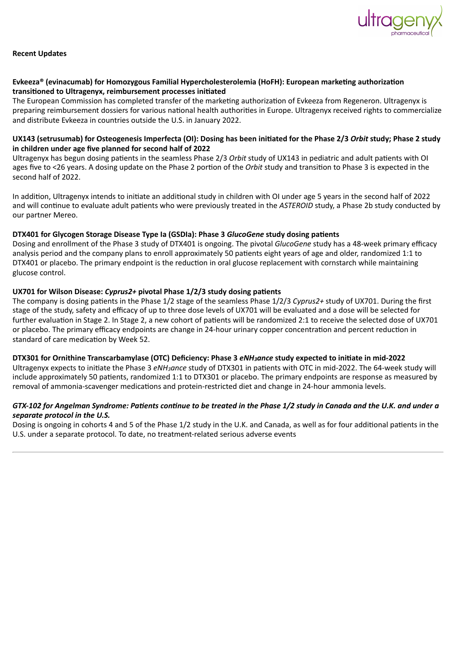

## **Recent Updates**

## **Evkeeza® (evinacumab) for Homozygous Familial Hypercholesterolemia (HoFH): European marketing authorization transitioned to Ultragenyx, reimbursement processes initiated**

The European Commission has completed transfer of the marketing authorization of Evkeeza from Regeneron. Ultragenyx is preparing reimbursement dossiers for various national health authorities in Europe. Ultragenyx received rights to commercialize and distribute Evkeeza in countries outside the U.S. in January 2022.

## **UX143 (setrusumab) for Osteogenesis Imperfecta (OI): Dosing has been initiated for the Phase 2/3** *Orbit* **study; Phase 2 study in children under age five planned for second half of 2022**

Ultragenyx has begun dosing patients in the seamless Phase 2/3 *Orbit* study of UX143 in pediatric and adult patients with OI ages five to <26 years. A dosing update on the Phase 2 portion of the *Orbit* study and transition to Phase 3 is expected in the second half of 2022.

In addition, Ultragenyx intends to initiate an additional study in children with OI under age 5 years in the second half of 2022 and will continue to evaluate adult patients who were previously treated in the *ASTEROID* study, a Phase 2b study conducted by our partner Mereo.

## **DTX401 for Glycogen Storage Disease Type Ia (GSDIa): Phase 3** *GlucoGene* **study dosing patients**

Dosing and enrollment of the Phase 3 study of DTX401 is ongoing. The pivotal *GlucoGene* study has a 48-week primary efficacy analysis period and the company plans to enroll approximately 50 patients eight years of age and older, randomized 1:1 to DTX401 or placebo. The primary endpoint is the reduction in oral glucose replacement with cornstarch while maintaining glucose control.

## **UX701 for Wilson Disease:** *Cyprus2+* **pivotal Phase 1/2/3 study dosing patients**

The company is dosing patients in the Phase 1/2 stage of the seamless Phase 1/2/3 *Cyprus2+* study of UX701. During the first stage of the study, safety and efficacy of up to three dose levels of UX701 will be evaluated and a dose will be selected for further evaluation in Stage 2. In Stage 2, a new cohort of patients will be randomized 2:1 to receive the selected dose of UX701 or placebo. The primary efficacy endpoints are change in 24-hour urinary copper concentration and percent reduction in standard of care medication by Week 52.

#### **DTX301 for Ornithine Transcarbamylase (OTC) Deficiency: Phase 3** *eNH3ance* **study expected to initiate in mid-2022**

Ultragenyx expects to initiate the Phase 3 *eNH3ance* study of DTX301 in patients with OTC in mid-2022. The 64-week study will include approximately 50 patients, randomized 1:1 to DTX301 or placebo. The primary endpoints are response as measured by removal of ammonia-scavenger medications and protein-restricted diet and change in 24-hour ammonia levels.

## *GTX-102 for Angelman Syndrome: Patients continue to be treated in the Phase 1/2 study in Canada and the U.K. and under a separate protocol in the U.S.*

Dosing is ongoing in cohorts 4 and 5 of the Phase 1/2 study in the U.K. and Canada, as well as for four additional patients in the U.S. under a separate protocol. To date, no treatment-related serious adverse events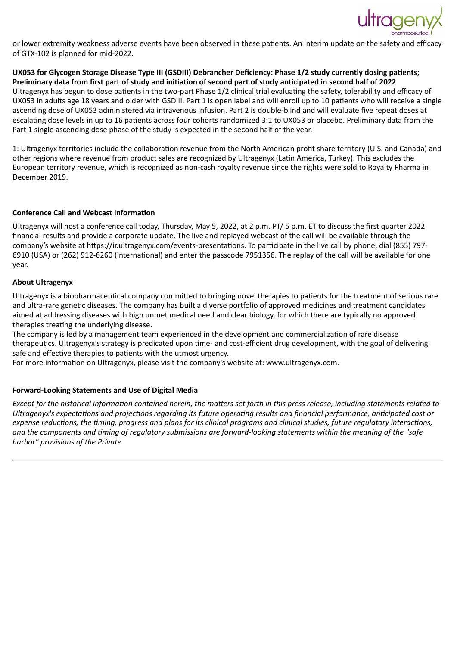

or lower extremity weakness adverse events have been observed in these patients. An interim update on the safety and efficacy of GTX-102 is planned for mid-2022.

**UX053 for Glycogen Storage Disease Type III (GSDIII) Debrancher Deficiency: Phase 1/2 study currently dosing patients; Preliminary data from first part of study and initiation of second part of study anticipated in second half of 2022** Ultragenyx has begun to dose patients in the two-part Phase 1/2 clinical trial evaluating the safety, tolerability and efficacy of UX053 in adults age 18 years and older with GSDIII. Part 1 is open label and will enroll up to 10 patients who will receive a single ascending dose of UX053 administered via intravenous infusion. Part 2 is double-blind and will evaluate five repeat doses at escalating dose levels in up to 16 patients across four cohorts randomized 3:1 to UX053 or placebo. Preliminary data from the Part 1 single ascending dose phase of the study is expected in the second half of the year.

1: Ultragenyx territories include the collaboration revenue from the North American profit share territory (U.S. and Canada) and other regions where revenue from product sales are recognized by Ultragenyx (Latin America, Turkey). This excludes the European territory revenue, which is recognized as non-cash royalty revenue since the rights were sold to Royalty Pharma in December 2019.

## **Conference Call and Webcast Information**

Ultragenyx will host a conference call today, Thursday, May 5, 2022, at 2 p.m. PT/ 5 p.m. ET to discuss the first quarter 2022 financial results and provide a corporate update. The live and replayed webcast of the call will be available through the company's website at https://ir.ultragenyx.com/events-presentations. To participate in the live call by phone, dial (855) 797- 6910 (USA) or (262) 912-6260 (international) and enter the passcode 7951356. The replay of the call will be available for one year.

#### **About Ultragenyx**

Ultragenyx is a biopharmaceutical company committed to bringing novel therapies to patients for the treatment of serious rare and ultra-rare genetic diseases. The company has built a diverse portfolio of approved medicines and treatment candidates aimed at addressing diseases with high unmet medical need and clear biology, for which there are typically no approved therapies treating the underlying disease.

The company is led by a management team experienced in the development and commercialization of rare disease therapeutics. Ultragenyx's strategy is predicated upon time- and cost-efficient drug development, with the goal of delivering safe and effective therapies to patients with the utmost urgency.

For more information on Ultragenyx, please visit the company's website at: www.ultragenyx.com.

## **Forward-Looking Statements and Use of Digital Media**

*Except for the historical information contained herein, the matters set forth in this press release, including statements related to Ultragenyx's expectations and projections regarding its future operating results and financial performance, anticipated cost or expense reductions, the timing, progress and plans for its clinical programs and clinical studies, future regulatory interactions, and the components and timing of regulatory submissions are forward-looking statements within the meaning of the "safe harbor" provisions of the Private*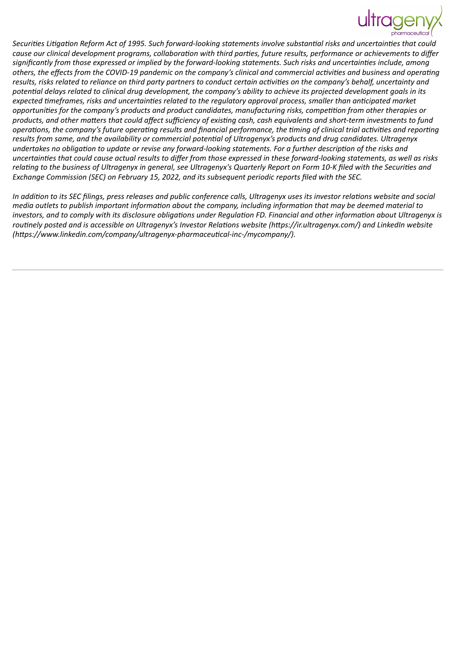*Securities Litigation Reform Act of 1995. Such forward-looking statements involve substantial risks and uncertainties that could cause our clinical development programs, collaboration with third parties, future results, performance or achievements to differ significantly from those expressed or implied by the forward-looking statements. Such risks and uncertainties include, among others, the effects from the COVID-19 pandemic on the company's clinical and commercial activities and business and operating results, risks related to reliance on third party partners to conduct certain activities on the company's behalf, uncertainty and potential delays related to clinical drug development, the company's ability to achieve its projected development goals in its expected timeframes, risks and uncertainties related to the regulatory approval process, smaller than anticipated market opportunities for the company's products and product candidates, manufacturing risks, competition from other therapies or products, and other matters that could affect sufficiency of existing cash, cash equivalents and short-term investments to fund operations, the company's future operating results and financial performance, the timing of clinical trial activities and reporting results from same, and the availability or commercial potential of Ultragenyx's products and drug candidates. Ultragenyx undertakes no obligation to update or revise any forward-looking statements. For a further description of the risks and uncertainties that could cause actual results to differ from those expressed in these forward-looking statements, as well as risks relating to the business of Ultragenyx in general, see Ultragenyx's Quarterly Report on Form 10-K filed with the Securities and Exchange Commission (SEC) on February 15, 2022, and its subsequent periodic reports filed with the SEC.*

*In addition to its SEC filings, press releases and public conference calls, Ultragenyx uses its investor relations website and social media outlets to publish important information about the company, including information that may be deemed material to investors, and to comply with its disclosure obligations under Regulation FD. Financial and other information about Ultragenyx is routinely posted and is accessible on Ultragenyx's Investor Relations website (https://ir.ultragenyx.com/) and LinkedIn website (https://www.linkedin.com/company/ultragenyx-pharmaceutical-inc-/mycompany/).*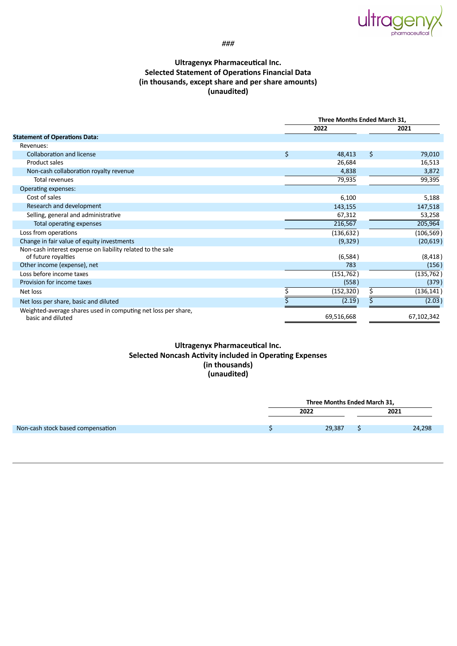

*###*

## **Ultragenyx Pharmaceutical Inc. Selected Statement of Operations Financial Data (in thousands, except share and per share amounts) (unaudited)**

|                                                                                    | Three Months Ended March 31, |      |            |
|------------------------------------------------------------------------------------|------------------------------|------|------------|
|                                                                                    | 2022                         | 2021 |            |
| <b>Statement of Operations Data:</b>                                               |                              |      |            |
| Revenues:                                                                          |                              |      |            |
| Collaboration and license                                                          | \$<br>48,413                 | \$   | 79,010     |
| Product sales                                                                      | 26,684                       |      | 16,513     |
| Non-cash collaboration royalty revenue                                             | 4,838                        |      | 3,872      |
| <b>Total revenues</b>                                                              | 79,935                       |      | 99,395     |
| Operating expenses:                                                                |                              |      |            |
| Cost of sales                                                                      | 6,100                        |      | 5,188      |
| Research and development                                                           | 143,155                      |      | 147,518    |
| Selling, general and administrative                                                | 67,312                       |      | 53,258     |
| Total operating expenses                                                           | 216,567                      |      | 205,964    |
| Loss from operations                                                               | (136, 632)                   |      | (106, 569) |
| Change in fair value of equity investments                                         | (9,329)                      |      | (20, 619)  |
| Non-cash interest expense on liability related to the sale<br>of future royalties  | (6,584)                      |      | (8, 418)   |
| Other income (expense), net                                                        | 783                          |      | (156)      |
| Loss before income taxes                                                           | (151, 762)                   |      | (135, 762) |
| Provision for income taxes                                                         | (558)                        |      | (379)      |
| Net loss                                                                           | (152, 320)                   | \$   | (136, 141) |
| Net loss per share, basic and diluted                                              | (2.19)                       |      | (2.03)     |
| Weighted-average shares used in computing net loss per share,<br>basic and diluted | 69,516,668                   |      | 67,102,342 |

## **Ultragenyx Pharmaceutical Inc. Selected Noncash Activity included in Operating Expenses (in thousands) (unaudited)**

|                                   | Three Months Ended March 31, |  |        |  |
|-----------------------------------|------------------------------|--|--------|--|
|                                   | 2022                         |  | 2021   |  |
| Non-cash stock based compensation | 29,387                       |  | 24,298 |  |